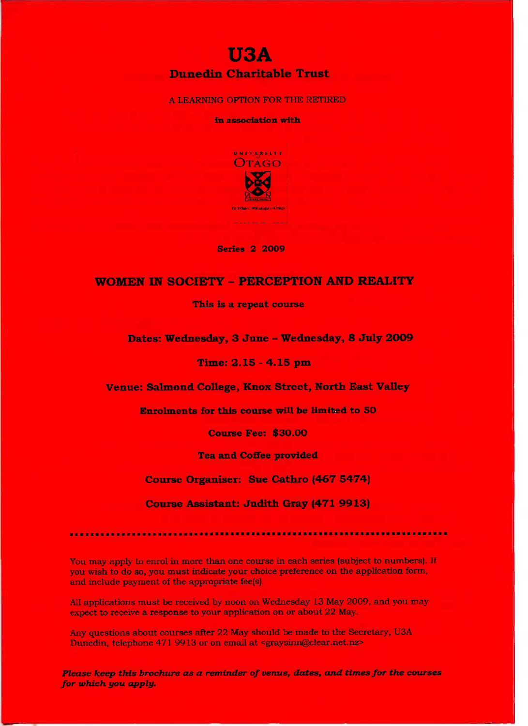# **U3A Dunedin Charitable Trust**

# A LEARNING OPTION FOR THE RETIRED

in association with



**Series 2 2009**

# **WOMEN IN SOCIETY - PERCEPTION AND REALITY**

**This is a repeat course**

**Dates: Wednesday, 3 June - Wednesday, 8 July 2OO9**

**Time: 2.15 - 4.15 pm**

**Venue: Salmond College, Knox Street, North East Valley**

**Enrolments for this course will be limited to 50**

**Course Fee: \$30.0O**

**Tea and Coffee provided**

**Course Organiser: Sue Cathro (467 5474)**

**Course Assistant: Judith Gray (471 9913)**

*tmmmmmmmmmmmmm*

You may apply to enrol in more than one course in each series (subject to numbers). If you wish to do so, you must indicate your choice preference on the application form, and include payment of the appropriate fee(s).

All applications must be received by noon on Wednesday 13 May 2009, and you may expect to receive a response to your application on or about 22 May.

Any questions about courses after 22 May should be made to the Secretary, USA Dunedin, telephone 471 9913 or on email at <graysinn@clear.net.nz>

*Please keep this brochure as a reminder of venue, dates, and times for the courses for which you apply.*